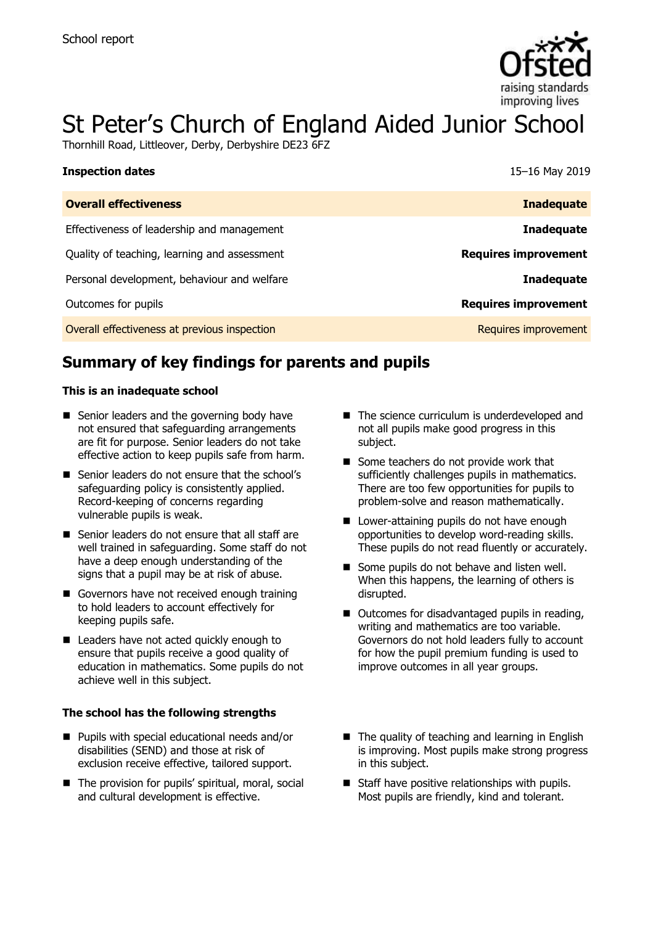

# St Peter's Church of England Aided Junior School

Thornhill Road, Littleover, Derby, Derbyshire DE23 6FZ

| <b>Inspection dates</b>                      | 15-16 May 2019              |
|----------------------------------------------|-----------------------------|
| <b>Overall effectiveness</b>                 | <b>Inadequate</b>           |
| Effectiveness of leadership and management   | <b>Inadequate</b>           |
| Quality of teaching, learning and assessment | <b>Requires improvement</b> |
| Personal development, behaviour and welfare  | <b>Inadequate</b>           |
| Outcomes for pupils                          | <b>Requires improvement</b> |
| Overall effectiveness at previous inspection | Requires improvement        |

# **Summary of key findings for parents and pupils**

### **This is an inadequate school**

- Senior leaders and the governing body have not ensured that safeguarding arrangements are fit for purpose. Senior leaders do not take effective action to keep pupils safe from harm.
- Senior leaders do not ensure that the school's safeguarding policy is consistently applied. Record-keeping of concerns regarding vulnerable pupils is weak.
- Senior leaders do not ensure that all staff are well trained in safeguarding. Some staff do not have a deep enough understanding of the signs that a pupil may be at risk of abuse.
- Governors have not received enough training to hold leaders to account effectively for keeping pupils safe.
- Leaders have not acted quickly enough to ensure that pupils receive a good quality of education in mathematics. Some pupils do not achieve well in this subject.

### **The school has the following strengths**

- **Pupils with special educational needs and/or** disabilities (SEND) and those at risk of exclusion receive effective, tailored support.
- The provision for pupils' spiritual, moral, social and cultural development is effective.
- The science curriculum is underdeveloped and not all pupils make good progress in this subject.
- Some teachers do not provide work that sufficiently challenges pupils in mathematics. There are too few opportunities for pupils to problem-solve and reason mathematically.
- **Lower-attaining pupils do not have enough** opportunities to develop word-reading skills. These pupils do not read fluently or accurately.
- Some pupils do not behave and listen well. When this happens, the learning of others is disrupted.
- Outcomes for disadvantaged pupils in reading, writing and mathematics are too variable. Governors do not hold leaders fully to account for how the pupil premium funding is used to improve outcomes in all year groups.
- $\blacksquare$  The quality of teaching and learning in English is improving. Most pupils make strong progress in this subject.
- $\blacksquare$  Staff have positive relationships with pupils. Most pupils are friendly, kind and tolerant.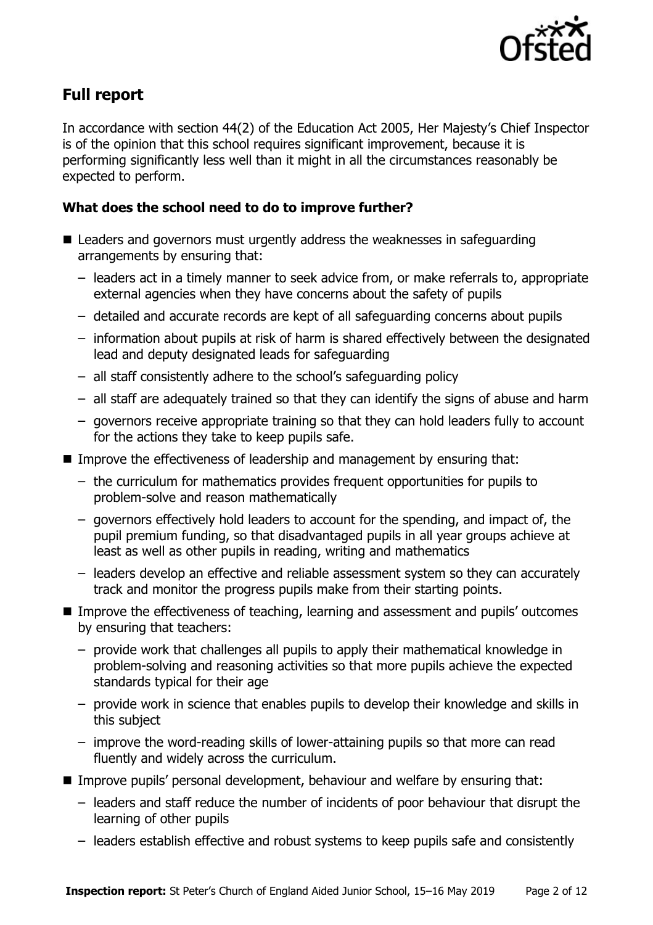

# **Full report**

In accordance with section 44(2) of the Education Act 2005, Her Majesty's Chief Inspector is of the opinion that this school requires significant improvement, because it is performing significantly less well than it might in all the circumstances reasonably be expected to perform.

### **What does the school need to do to improve further?**

- Leaders and governors must urgently address the weaknesses in safeguarding arrangements by ensuring that:
	- leaders act in a timely manner to seek advice from, or make referrals to, appropriate external agencies when they have concerns about the safety of pupils
	- detailed and accurate records are kept of all safeguarding concerns about pupils
	- information about pupils at risk of harm is shared effectively between the designated lead and deputy designated leads for safeguarding
	- all staff consistently adhere to the school's safeguarding policy
	- all staff are adequately trained so that they can identify the signs of abuse and harm
	- governors receive appropriate training so that they can hold leaders fully to account for the actions they take to keep pupils safe.
- Improve the effectiveness of leadership and management by ensuring that:
	- the curriculum for mathematics provides frequent opportunities for pupils to problem-solve and reason mathematically
	- governors effectively hold leaders to account for the spending, and impact of, the pupil premium funding, so that disadvantaged pupils in all year groups achieve at least as well as other pupils in reading, writing and mathematics
	- leaders develop an effective and reliable assessment system so they can accurately track and monitor the progress pupils make from their starting points.
- Improve the effectiveness of teaching, learning and assessment and pupils' outcomes by ensuring that teachers:
	- provide work that challenges all pupils to apply their mathematical knowledge in problem-solving and reasoning activities so that more pupils achieve the expected standards typical for their age
	- provide work in science that enables pupils to develop their knowledge and skills in this subject
	- improve the word-reading skills of lower-attaining pupils so that more can read fluently and widely across the curriculum.
- Improve pupils' personal development, behaviour and welfare by ensuring that:
	- leaders and staff reduce the number of incidents of poor behaviour that disrupt the learning of other pupils
	- leaders establish effective and robust systems to keep pupils safe and consistently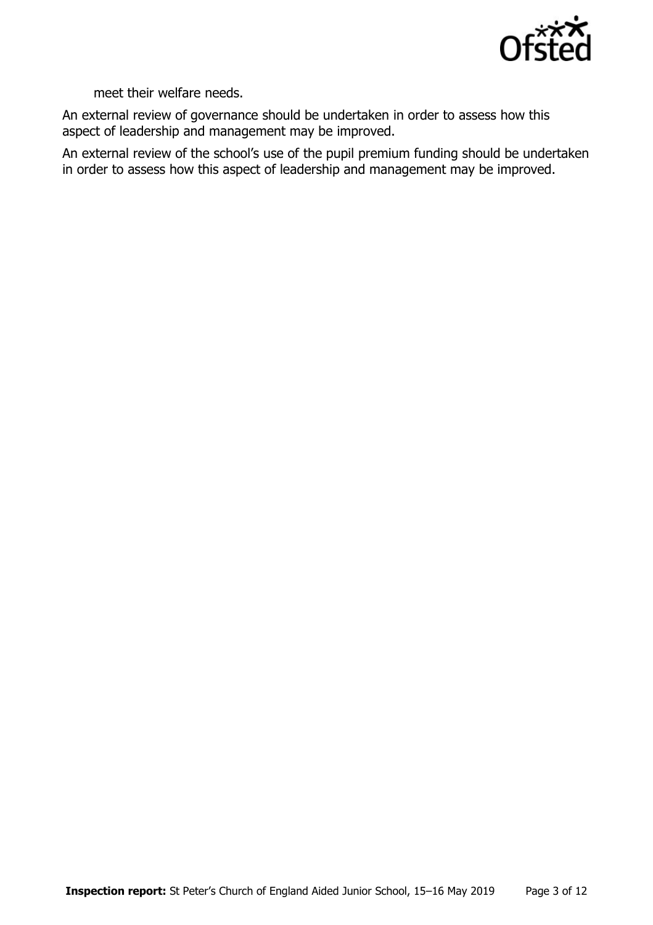

meet their welfare needs.

An external review of governance should be undertaken in order to assess how this aspect of leadership and management may be improved.

An external review of the school's use of the pupil premium funding should be undertaken in order to assess how this aspect of leadership and management may be improved.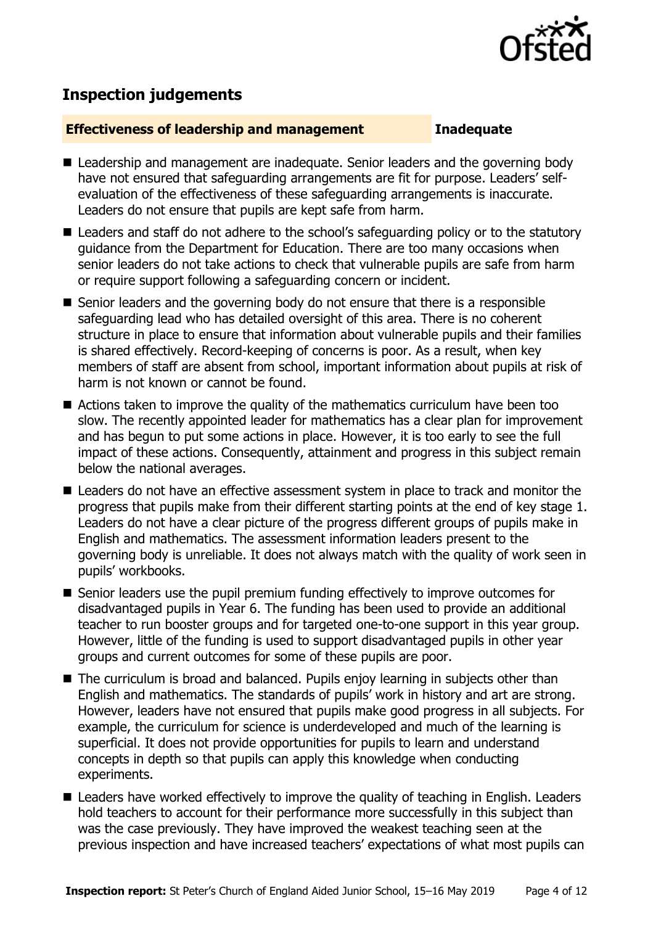

# **Inspection judgements**

### **Effectiveness of leadership and management Inadequate**

- Leadership and management are inadequate. Senior leaders and the governing body have not ensured that safeguarding arrangements are fit for purpose. Leaders' selfevaluation of the effectiveness of these safeguarding arrangements is inaccurate. Leaders do not ensure that pupils are kept safe from harm.
- Leaders and staff do not adhere to the school's safeguarding policy or to the statutory guidance from the Department for Education. There are too many occasions when senior leaders do not take actions to check that vulnerable pupils are safe from harm or require support following a safeguarding concern or incident.
- Senior leaders and the governing body do not ensure that there is a responsible safeguarding lead who has detailed oversight of this area. There is no coherent structure in place to ensure that information about vulnerable pupils and their families is shared effectively. Record-keeping of concerns is poor. As a result, when key members of staff are absent from school, important information about pupils at risk of harm is not known or cannot be found.
- Actions taken to improve the quality of the mathematics curriculum have been too slow. The recently appointed leader for mathematics has a clear plan for improvement and has begun to put some actions in place. However, it is too early to see the full impact of these actions. Consequently, attainment and progress in this subject remain below the national averages.
- Leaders do not have an effective assessment system in place to track and monitor the progress that pupils make from their different starting points at the end of key stage 1. Leaders do not have a clear picture of the progress different groups of pupils make in English and mathematics. The assessment information leaders present to the governing body is unreliable. It does not always match with the quality of work seen in pupils' workbooks.
- Senior leaders use the pupil premium funding effectively to improve outcomes for disadvantaged pupils in Year 6. The funding has been used to provide an additional teacher to run booster groups and for targeted one-to-one support in this year group. However, little of the funding is used to support disadvantaged pupils in other year groups and current outcomes for some of these pupils are poor.
- The curriculum is broad and balanced. Pupils enjoy learning in subjects other than English and mathematics. The standards of pupils' work in history and art are strong. However, leaders have not ensured that pupils make good progress in all subjects. For example, the curriculum for science is underdeveloped and much of the learning is superficial. It does not provide opportunities for pupils to learn and understand concepts in depth so that pupils can apply this knowledge when conducting experiments.
- Leaders have worked effectively to improve the quality of teaching in English. Leaders hold teachers to account for their performance more successfully in this subject than was the case previously. They have improved the weakest teaching seen at the previous inspection and have increased teachers' expectations of what most pupils can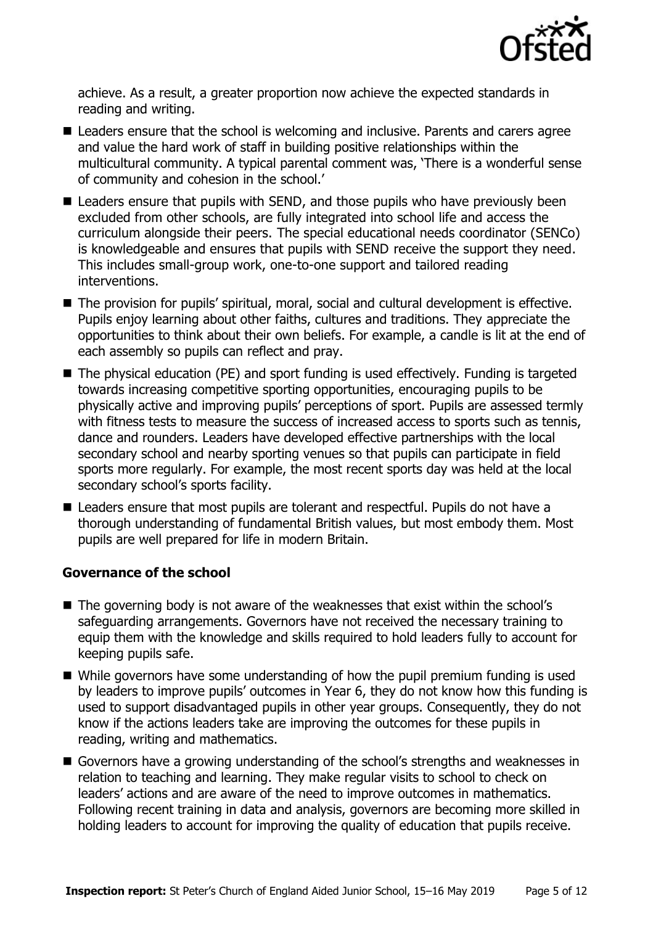

achieve. As a result, a greater proportion now achieve the expected standards in reading and writing.

- Leaders ensure that the school is welcoming and inclusive. Parents and carers agree and value the hard work of staff in building positive relationships within the multicultural community. A typical parental comment was, 'There is a wonderful sense of community and cohesion in the school.'
- Leaders ensure that pupils with SEND, and those pupils who have previously been excluded from other schools, are fully integrated into school life and access the curriculum alongside their peers. The special educational needs coordinator (SENCo) is knowledgeable and ensures that pupils with SEND receive the support they need. This includes small-group work, one-to-one support and tailored reading interventions.
- The provision for pupils' spiritual, moral, social and cultural development is effective. Pupils enjoy learning about other faiths, cultures and traditions. They appreciate the opportunities to think about their own beliefs. For example, a candle is lit at the end of each assembly so pupils can reflect and pray.
- The physical education (PE) and sport funding is used effectively. Funding is targeted towards increasing competitive sporting opportunities, encouraging pupils to be physically active and improving pupils' perceptions of sport. Pupils are assessed termly with fitness tests to measure the success of increased access to sports such as tennis, dance and rounders. Leaders have developed effective partnerships with the local secondary school and nearby sporting venues so that pupils can participate in field sports more regularly. For example, the most recent sports day was held at the local secondary school's sports facility.
- Leaders ensure that most pupils are tolerant and respectful. Pupils do not have a thorough understanding of fundamental British values, but most embody them. Most pupils are well prepared for life in modern Britain.

### **Governance of the school**

- The governing body is not aware of the weaknesses that exist within the school's safeguarding arrangements. Governors have not received the necessary training to equip them with the knowledge and skills required to hold leaders fully to account for keeping pupils safe.
- While governors have some understanding of how the pupil premium funding is used by leaders to improve pupils' outcomes in Year 6, they do not know how this funding is used to support disadvantaged pupils in other year groups. Consequently, they do not know if the actions leaders take are improving the outcomes for these pupils in reading, writing and mathematics.
- Governors have a growing understanding of the school's strengths and weaknesses in relation to teaching and learning. They make regular visits to school to check on leaders' actions and are aware of the need to improve outcomes in mathematics. Following recent training in data and analysis, governors are becoming more skilled in holding leaders to account for improving the quality of education that pupils receive.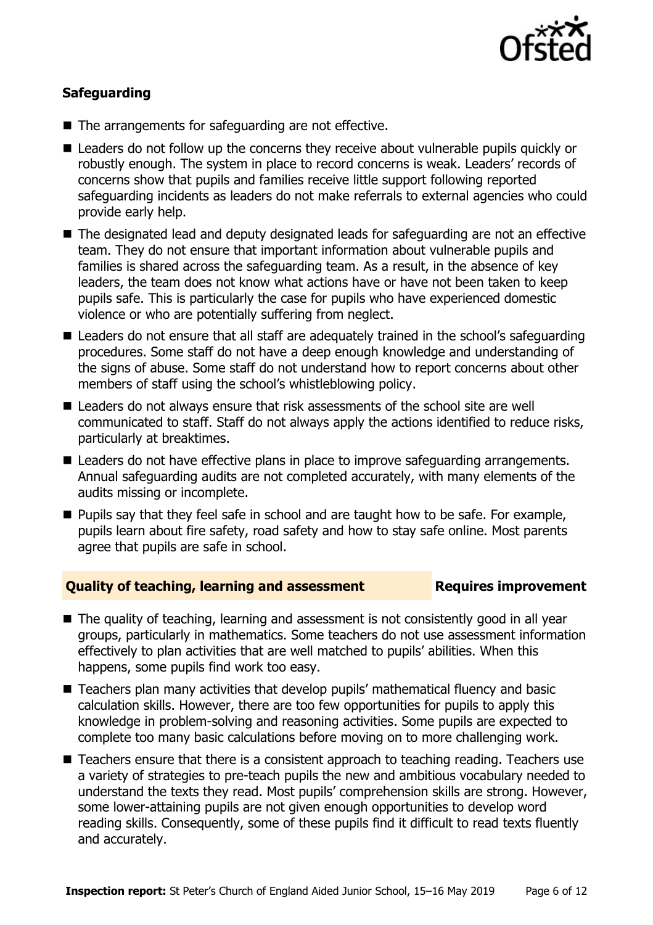

### **Safeguarding**

- The arrangements for safeguarding are not effective.
- Leaders do not follow up the concerns they receive about vulnerable pupils quickly or robustly enough. The system in place to record concerns is weak. Leaders' records of concerns show that pupils and families receive little support following reported safeguarding incidents as leaders do not make referrals to external agencies who could provide early help.
- The designated lead and deputy designated leads for safeguarding are not an effective team. They do not ensure that important information about vulnerable pupils and families is shared across the safeguarding team. As a result, in the absence of key leaders, the team does not know what actions have or have not been taken to keep pupils safe. This is particularly the case for pupils who have experienced domestic violence or who are potentially suffering from neglect.
- Leaders do not ensure that all staff are adequately trained in the school's safeguarding procedures. Some staff do not have a deep enough knowledge and understanding of the signs of abuse. Some staff do not understand how to report concerns about other members of staff using the school's whistleblowing policy.
- Leaders do not always ensure that risk assessments of the school site are well communicated to staff. Staff do not always apply the actions identified to reduce risks, particularly at breaktimes.
- Leaders do not have effective plans in place to improve safeguarding arrangements. Annual safeguarding audits are not completed accurately, with many elements of the audits missing or incomplete.
- **Pupils say that they feel safe in school and are taught how to be safe. For example,** pupils learn about fire safety, road safety and how to stay safe online. Most parents agree that pupils are safe in school.

### **Quality of teaching, learning and assessment France Requires improvement**

- The quality of teaching, learning and assessment is not consistently good in all year groups, particularly in mathematics. Some teachers do not use assessment information effectively to plan activities that are well matched to pupils' abilities. When this happens, some pupils find work too easy.
- Teachers plan many activities that develop pupils' mathematical fluency and basic calculation skills. However, there are too few opportunities for pupils to apply this knowledge in problem-solving and reasoning activities. Some pupils are expected to complete too many basic calculations before moving on to more challenging work.
- Teachers ensure that there is a consistent approach to teaching reading. Teachers use a variety of strategies to pre-teach pupils the new and ambitious vocabulary needed to understand the texts they read. Most pupils' comprehension skills are strong. However, some lower-attaining pupils are not given enough opportunities to develop word reading skills. Consequently, some of these pupils find it difficult to read texts fluently and accurately.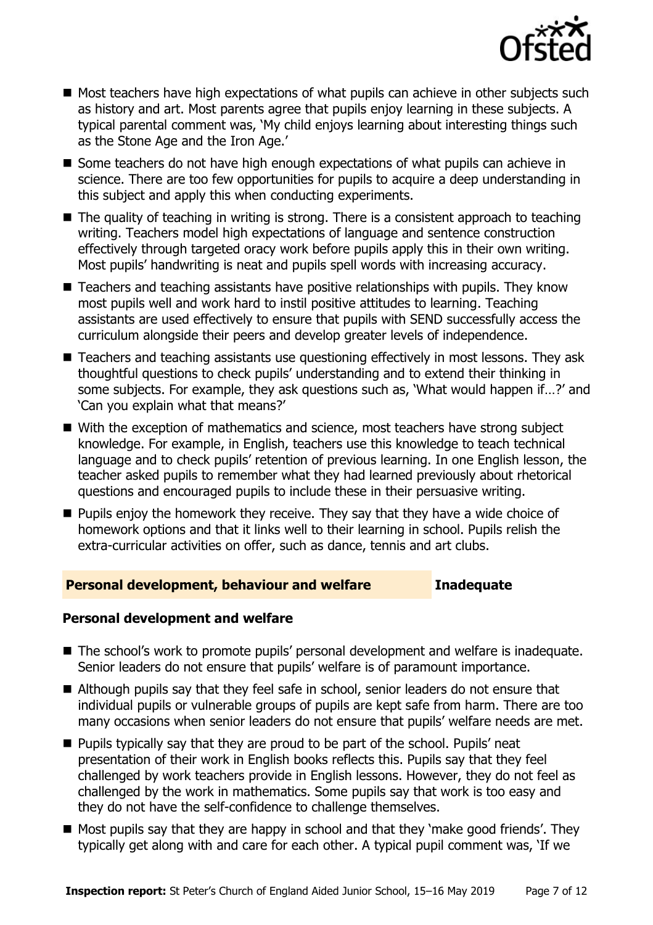

- Most teachers have high expectations of what pupils can achieve in other subiects such as history and art. Most parents agree that pupils enjoy learning in these subjects. A typical parental comment was, 'My child enjoys learning about interesting things such as the Stone Age and the Iron Age.'
- Some teachers do not have high enough expectations of what pupils can achieve in science. There are too few opportunities for pupils to acquire a deep understanding in this subject and apply this when conducting experiments.
- $\blacksquare$  The quality of teaching in writing is strong. There is a consistent approach to teaching writing. Teachers model high expectations of language and sentence construction effectively through targeted oracy work before pupils apply this in their own writing. Most pupils' handwriting is neat and pupils spell words with increasing accuracy.
- Teachers and teaching assistants have positive relationships with pupils. They know most pupils well and work hard to instil positive attitudes to learning. Teaching assistants are used effectively to ensure that pupils with SEND successfully access the curriculum alongside their peers and develop greater levels of independence.
- Teachers and teaching assistants use questioning effectively in most lessons. They ask thoughtful questions to check pupils' understanding and to extend their thinking in some subjects. For example, they ask questions such as, 'What would happen if…?' and 'Can you explain what that means?'
- With the exception of mathematics and science, most teachers have strong subject knowledge. For example, in English, teachers use this knowledge to teach technical language and to check pupils' retention of previous learning. In one English lesson, the teacher asked pupils to remember what they had learned previously about rhetorical questions and encouraged pupils to include these in their persuasive writing.
- $\blacksquare$  Pupils enjoy the homework they receive. They say that they have a wide choice of homework options and that it links well to their learning in school. Pupils relish the extra-curricular activities on offer, such as dance, tennis and art clubs.

### **Personal development, behaviour and welfare Inadequate**

### **Personal development and welfare**

- The school's work to promote pupils' personal development and welfare is inadequate. Senior leaders do not ensure that pupils' welfare is of paramount importance.
- Although pupils say that they feel safe in school, senior leaders do not ensure that individual pupils or vulnerable groups of pupils are kept safe from harm. There are too many occasions when senior leaders do not ensure that pupils' welfare needs are met.
- **Pupils typically say that they are proud to be part of the school. Pupils' neat** presentation of their work in English books reflects this. Pupils say that they feel challenged by work teachers provide in English lessons. However, they do not feel as challenged by the work in mathematics. Some pupils say that work is too easy and they do not have the self-confidence to challenge themselves.
- Most pupils say that they are happy in school and that they 'make good friends'. They typically get along with and care for each other. A typical pupil comment was, 'If we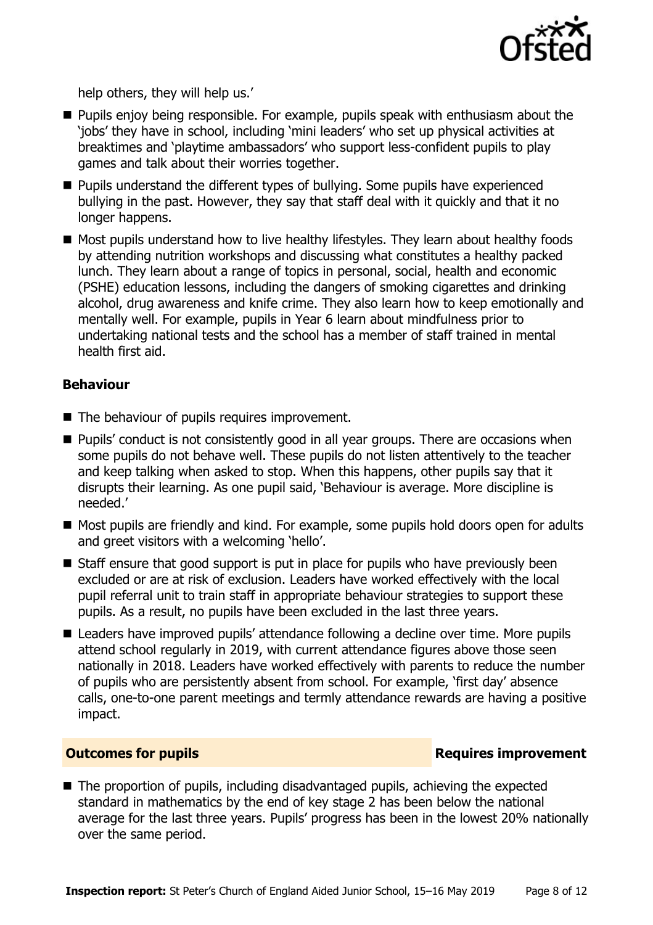

help others, they will help us.'

- **Pupils enjoy being responsible. For example, pupils speak with enthusiasm about the** 'jobs' they have in school, including 'mini leaders' who set up physical activities at breaktimes and 'playtime ambassadors' who support less-confident pupils to play games and talk about their worries together.
- **Pupils understand the different types of bullying. Some pupils have experienced** bullying in the past. However, they say that staff deal with it quickly and that it no longer happens.
- Most pupils understand how to live healthy lifestyles. They learn about healthy foods by attending nutrition workshops and discussing what constitutes a healthy packed lunch. They learn about a range of topics in personal, social, health and economic (PSHE) education lessons, including the dangers of smoking cigarettes and drinking alcohol, drug awareness and knife crime. They also learn how to keep emotionally and mentally well. For example, pupils in Year 6 learn about mindfulness prior to undertaking national tests and the school has a member of staff trained in mental health first aid.

### **Behaviour**

- The behaviour of pupils requires improvement.
- **Pupils'** conduct is not consistently good in all year groups. There are occasions when some pupils do not behave well. These pupils do not listen attentively to the teacher and keep talking when asked to stop. When this happens, other pupils say that it disrupts their learning. As one pupil said, 'Behaviour is average. More discipline is needed.'
- Most pupils are friendly and kind. For example, some pupils hold doors open for adults and greet visitors with a welcoming 'hello'.
- Staff ensure that good support is put in place for pupils who have previously been excluded or are at risk of exclusion. Leaders have worked effectively with the local pupil referral unit to train staff in appropriate behaviour strategies to support these pupils. As a result, no pupils have been excluded in the last three years.
- Leaders have improved pupils' attendance following a decline over time. More pupils attend school regularly in 2019, with current attendance figures above those seen nationally in 2018. Leaders have worked effectively with parents to reduce the number of pupils who are persistently absent from school. For example, 'first day' absence calls, one-to-one parent meetings and termly attendance rewards are having a positive impact.

### **Outcomes for pupils Requires improvement**

■ The proportion of pupils, including disadvantaged pupils, achieving the expected standard in mathematics by the end of key stage 2 has been below the national average for the last three years. Pupils' progress has been in the lowest 20% nationally over the same period.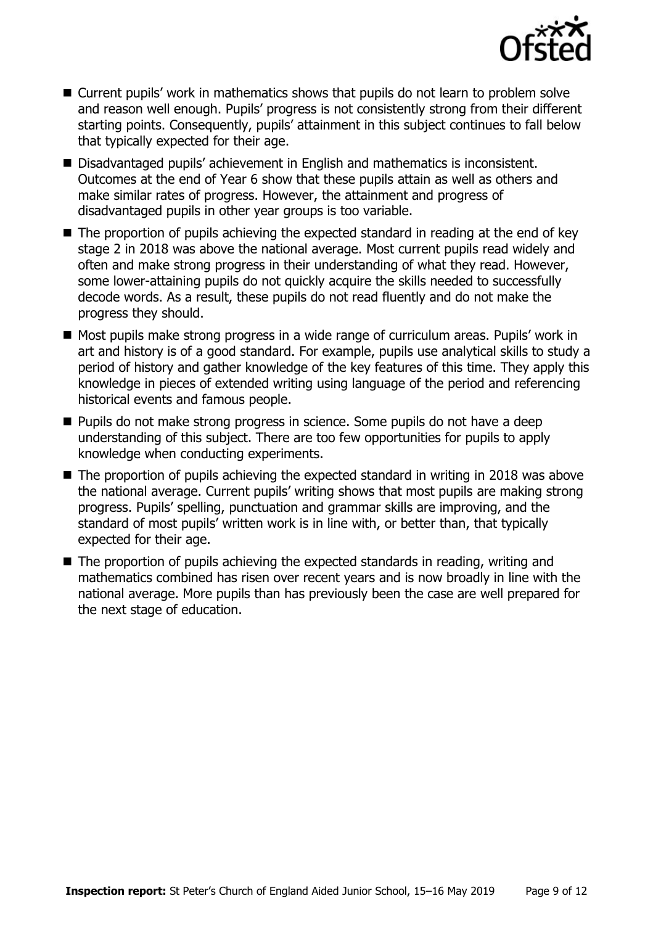

- Current pupils' work in mathematics shows that pupils do not learn to problem solve and reason well enough. Pupils' progress is not consistently strong from their different starting points. Consequently, pupils' attainment in this subject continues to fall below that typically expected for their age.
- Disadvantaged pupils' achievement in English and mathematics is inconsistent. Outcomes at the end of Year 6 show that these pupils attain as well as others and make similar rates of progress. However, the attainment and progress of disadvantaged pupils in other year groups is too variable.
- The proportion of pupils achieving the expected standard in reading at the end of key stage 2 in 2018 was above the national average. Most current pupils read widely and often and make strong progress in their understanding of what they read. However, some lower-attaining pupils do not quickly acquire the skills needed to successfully decode words. As a result, these pupils do not read fluently and do not make the progress they should.
- Most pupils make strong progress in a wide range of curriculum areas. Pupils' work in art and history is of a good standard. For example, pupils use analytical skills to study a period of history and gather knowledge of the key features of this time. They apply this knowledge in pieces of extended writing using language of the period and referencing historical events and famous people.
- **Pupils do not make strong progress in science. Some pupils do not have a deep** understanding of this subject. There are too few opportunities for pupils to apply knowledge when conducting experiments.
- The proportion of pupils achieving the expected standard in writing in 2018 was above the national average. Current pupils' writing shows that most pupils are making strong progress. Pupils' spelling, punctuation and grammar skills are improving, and the standard of most pupils' written work is in line with, or better than, that typically expected for their age.
- The proportion of pupils achieving the expected standards in reading, writing and mathematics combined has risen over recent years and is now broadly in line with the national average. More pupils than has previously been the case are well prepared for the next stage of education.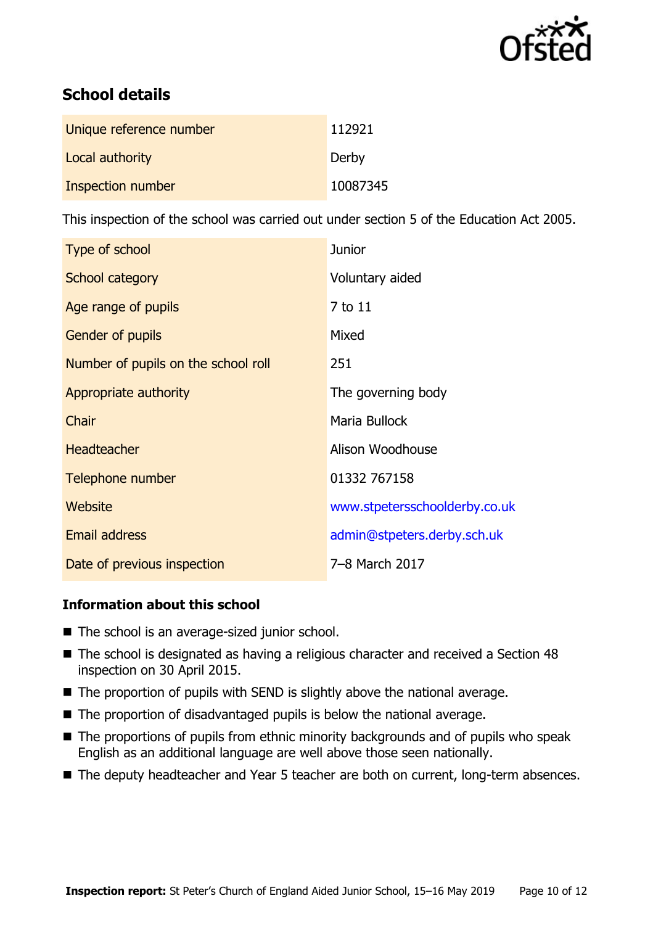

# **School details**

| Unique reference number | 112921   |
|-------------------------|----------|
| Local authority         | Derby    |
| Inspection number       | 10087345 |

This inspection of the school was carried out under section 5 of the Education Act 2005.

| Type of school                      | <b>Junior</b>                 |
|-------------------------------------|-------------------------------|
| School category                     | Voluntary aided               |
| Age range of pupils                 | 7 to 11                       |
| Gender of pupils                    | Mixed                         |
| Number of pupils on the school roll | 251                           |
| Appropriate authority               | The governing body            |
| Chair                               | Maria Bullock                 |
| <b>Headteacher</b>                  | Alison Woodhouse              |
| Telephone number                    | 01332 767158                  |
| Website                             | www.stpetersschoolderby.co.uk |
| Email address                       | admin@stpeters.derby.sch.uk   |
| Date of previous inspection         | 7-8 March 2017                |

### **Information about this school**

- The school is an average-sized junior school.
- The school is designated as having a religious character and received a Section 48 inspection on 30 April 2015.
- $\blacksquare$  The proportion of pupils with SEND is slightly above the national average.
- The proportion of disadvantaged pupils is below the national average.
- The proportions of pupils from ethnic minority backgrounds and of pupils who speak English as an additional language are well above those seen nationally.
- The deputy headteacher and Year 5 teacher are both on current, long-term absences.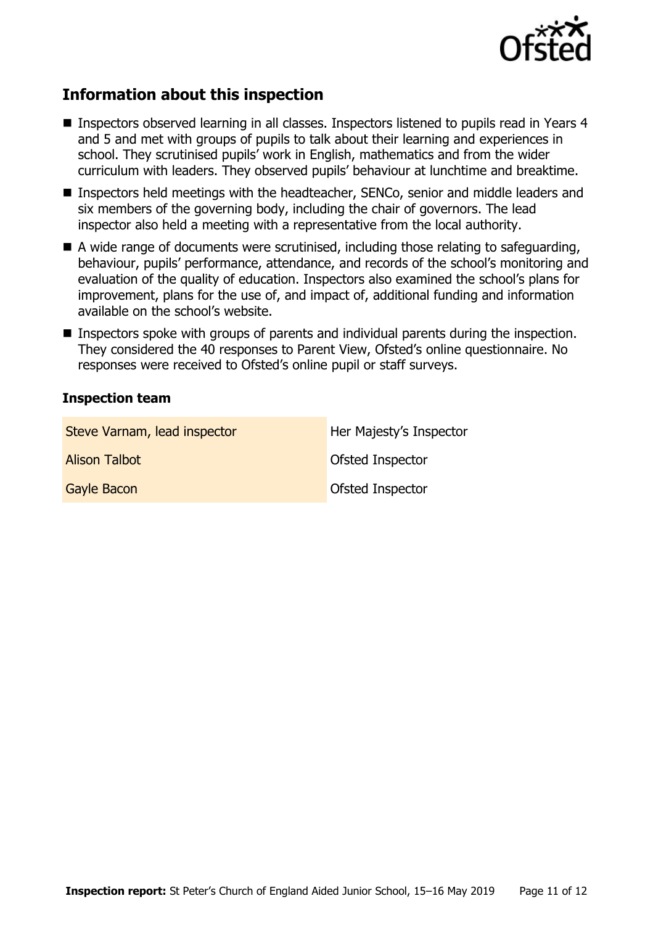

# **Information about this inspection**

- Inspectors observed learning in all classes. Inspectors listened to pupils read in Years 4 and 5 and met with groups of pupils to talk about their learning and experiences in school. They scrutinised pupils' work in English, mathematics and from the wider curriculum with leaders. They observed pupils' behaviour at lunchtime and breaktime.
- Inspectors held meetings with the headteacher, SENCo, senior and middle leaders and six members of the governing body, including the chair of governors. The lead inspector also held a meeting with a representative from the local authority.
- A wide range of documents were scrutinised, including those relating to safeguarding, behaviour, pupils' performance, attendance, and records of the school's monitoring and evaluation of the quality of education. Inspectors also examined the school's plans for improvement, plans for the use of, and impact of, additional funding and information available on the school's website.
- **Inspectors spoke with groups of parents and individual parents during the inspection.** They considered the 40 responses to Parent View, Ofsted's online questionnaire. No responses were received to Ofsted's online pupil or staff surveys.

### **Inspection team**

| Steve Varnam, lead inspector | Her Majesty's Inspector |
|------------------------------|-------------------------|
| <b>Alison Talbot</b>         | <b>Ofsted Inspector</b> |
| <b>Gayle Bacon</b>           | <b>Ofsted Inspector</b> |